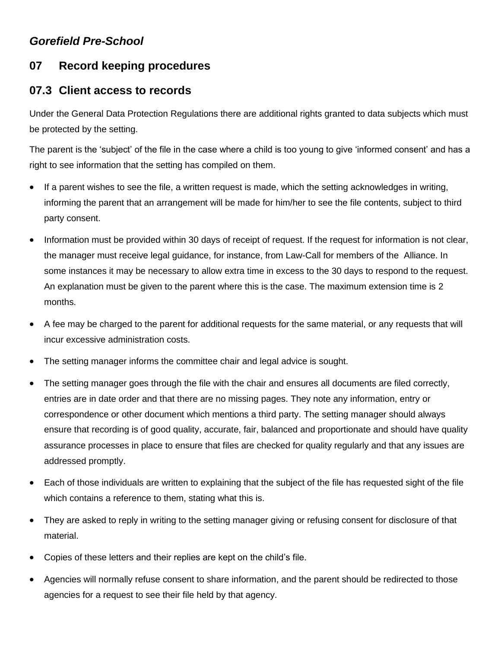## *Gorefield Pre-School*

## **07 Record keeping procedures**

## **07.3 Client access to records**

Under the General Data Protection Regulations there are additional rights granted to data subjects which must be protected by the setting.

The parent is the 'subject' of the file in the case where a child is too young to give 'informed consent' and has a right to see information that the setting has compiled on them.

- If a parent wishes to see the file, a written request is made, which the setting acknowledges in writing, informing the parent that an arrangement will be made for him/her to see the file contents, subject to third party consent.
- Information must be provided within 30 days of receipt of request. If the request for information is not clear, the manager must receive legal guidance, for instance, from Law-Call for members of the Alliance. In some instances it may be necessary to allow extra time in excess to the 30 days to respond to the request. An explanation must be given to the parent where this is the case. The maximum extension time is 2 months.
- A fee may be charged to the parent for additional requests for the same material, or any requests that will incur excessive administration costs.
- The setting manager informs the committee chair and legal advice is sought.
- The setting manager goes through the file with the chair and ensures all documents are filed correctly, entries are in date order and that there are no missing pages. They note any information, entry or correspondence or other document which mentions a third party. The setting manager should always ensure that recording is of good quality, accurate, fair, balanced and proportionate and should have quality assurance processes in place to ensure that files are checked for quality regularly and that any issues are addressed promptly.
- Each of those individuals are written to explaining that the subject of the file has requested sight of the file which contains a reference to them, stating what this is.
- They are asked to reply in writing to the setting manager giving or refusing consent for disclosure of that material.
- Copies of these letters and their replies are kept on the child's file.
- Agencies will normally refuse consent to share information, and the parent should be redirected to those agencies for a request to see their file held by that agency.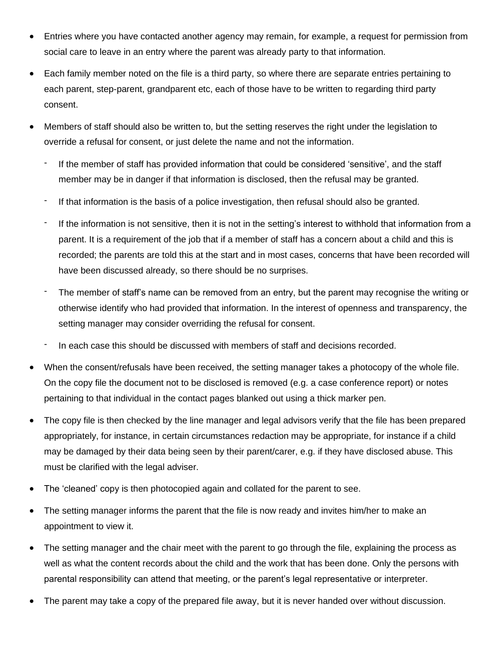- Entries where you have contacted another agency may remain, for example, a request for permission from social care to leave in an entry where the parent was already party to that information.
- Each family member noted on the file is a third party, so where there are separate entries pertaining to each parent, step-parent, grandparent etc, each of those have to be written to regarding third party consent.
- Members of staff should also be written to, but the setting reserves the right under the legislation to override a refusal for consent, or just delete the name and not the information.
	- If the member of staff has provided information that could be considered 'sensitive', and the staff member may be in danger if that information is disclosed, then the refusal may be granted.
	- If that information is the basis of a police investigation, then refusal should also be granted.
	- If the information is not sensitive, then it is not in the setting's interest to withhold that information from a parent. It is a requirement of the job that if a member of staff has a concern about a child and this is recorded; the parents are told this at the start and in most cases, concerns that have been recorded will have been discussed already, so there should be no surprises.
	- The member of staff's name can be removed from an entry, but the parent may recognise the writing or otherwise identify who had provided that information. In the interest of openness and transparency, the setting manager may consider overriding the refusal for consent.
	- In each case this should be discussed with members of staff and decisions recorded.
- When the consent/refusals have been received, the setting manager takes a photocopy of the whole file. On the copy file the document not to be disclosed is removed (e.g. a case conference report) or notes pertaining to that individual in the contact pages blanked out using a thick marker pen.
- The copy file is then checked by the line manager and legal advisors verify that the file has been prepared appropriately, for instance, in certain circumstances redaction may be appropriate, for instance if a child may be damaged by their data being seen by their parent/carer, e.g. if they have disclosed abuse. This must be clarified with the legal adviser.
- The 'cleaned' copy is then photocopied again and collated for the parent to see.
- The setting manager informs the parent that the file is now ready and invites him/her to make an appointment to view it.
- The setting manager and the chair meet with the parent to go through the file, explaining the process as well as what the content records about the child and the work that has been done. Only the persons with parental responsibility can attend that meeting, or the parent's legal representative or interpreter.
- The parent may take a copy of the prepared file away, but it is never handed over without discussion.